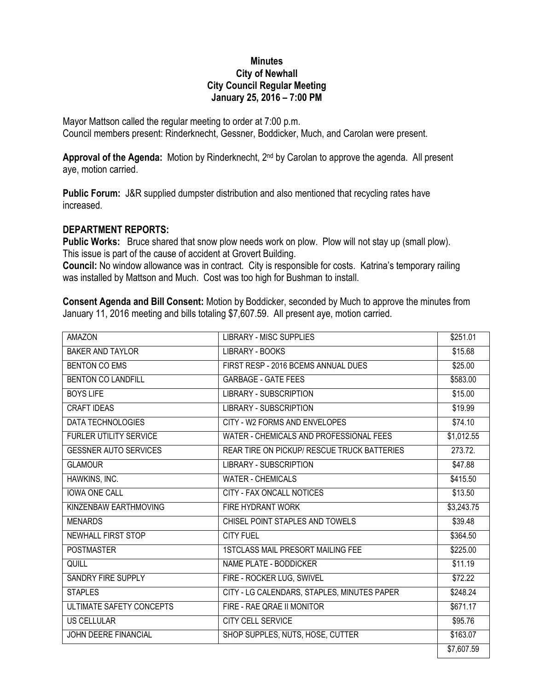## **Minutes City of Newhall City Council Regular Meeting January 25, 2016 – 7:00 PM**

Mayor Mattson called the regular meeting to order at 7:00 p.m. Council members present: Rinderknecht, Gessner, Boddicker, Much, and Carolan were present.

**Approval of the Agenda:** Motion by Rinderknecht, 2nd by Carolan to approve the agenda. All present aye, motion carried.

**Public Forum:** J&R supplied dumpster distribution and also mentioned that recycling rates have increased.

## **DEPARTMENT REPORTS:**

**Public Works:** Bruce shared that snow plow needs work on plow. Plow will not stay up (small plow). This issue is part of the cause of accident at Grovert Building.

**Council:** No window allowance was in contract. City is responsible for costs. Katrina's temporary railing was installed by Mattson and Much. Cost was too high for Bushman to install.

**Consent Agenda and Bill Consent:** Motion by Boddicker, seconded by Much to approve the minutes from January 11, 2016 meeting and bills totaling \$7,607.59. All present aye, motion carried.

| <b>AMAZON</b>                 | <b>LIBRARY - MISC SUPPLIES</b>              | \$251.01   |
|-------------------------------|---------------------------------------------|------------|
| <b>BAKER AND TAYLOR</b>       | <b>LIBRARY - BOOKS</b>                      | \$15.68    |
| <b>BENTON CO EMS</b>          | FIRST RESP - 2016 BCEMS ANNUAL DUES         | \$25.00    |
| <b>BENTON CO LANDFILL</b>     | <b>GARBAGE - GATE FEES</b>                  | \$583.00   |
| <b>BOYS LIFE</b>              | <b>LIBRARY - SUBSCRIPTION</b>               | \$15.00    |
| <b>CRAFT IDEAS</b>            | <b>LIBRARY - SUBSCRIPTION</b>               | \$19.99    |
| <b>DATA TECHNOLOGIES</b>      | CITY - W2 FORMS AND ENVELOPES               | \$74.10    |
| <b>FURLER UTILITY SERVICE</b> | WATER - CHEMICALS AND PROFESSIONAL FEES     | \$1,012.55 |
| <b>GESSNER AUTO SERVICES</b>  | REAR TIRE ON PICKUP/ RESCUE TRUCK BATTERIES | 273.72.    |
| <b>GLAMOUR</b>                | <b>LIBRARY - SUBSCRIPTION</b>               | \$47.88    |
| HAWKINS, INC.                 | <b>WATER - CHEMICALS</b>                    | \$415.50   |
| <b>IOWA ONE CALL</b>          | CITY - FAX ONCALL NOTICES                   | \$13.50    |
| KINZENBAW EARTHMOVING         | FIRE HYDRANT WORK                           | \$3,243.75 |
| <b>MENARDS</b>                | CHISEL POINT STAPLES AND TOWELS             | \$39.48    |
| <b>NEWHALL FIRST STOP</b>     | <b>CITY FUEL</b>                            | \$364.50   |
| <b>POSTMASTER</b>             | <b>1STCLASS MAIL PRESORT MAILING FEE</b>    | \$225.00   |
| QUILL                         | NAME PLATE - BODDICKER                      | \$11.19    |
| SANDRY FIRE SUPPLY            | FIRE - ROCKER LUG, SWIVEL                   | \$72.22    |
| <b>STAPLES</b>                | CITY - LG CALENDARS, STAPLES, MINUTES PAPER | \$248.24   |
| ULTIMATE SAFETY CONCEPTS      | FIRE - RAE QRAE II MONITOR                  | \$671.17   |
| <b>US CELLULAR</b>            | <b>CITY CELL SERVICE</b>                    | \$95.76    |
| <b>JOHN DEERE FINANCIAL</b>   | SHOP SUPPLES, NUTS, HOSE, CUTTER            | \$163.07   |
|                               |                                             | \$7,607.59 |